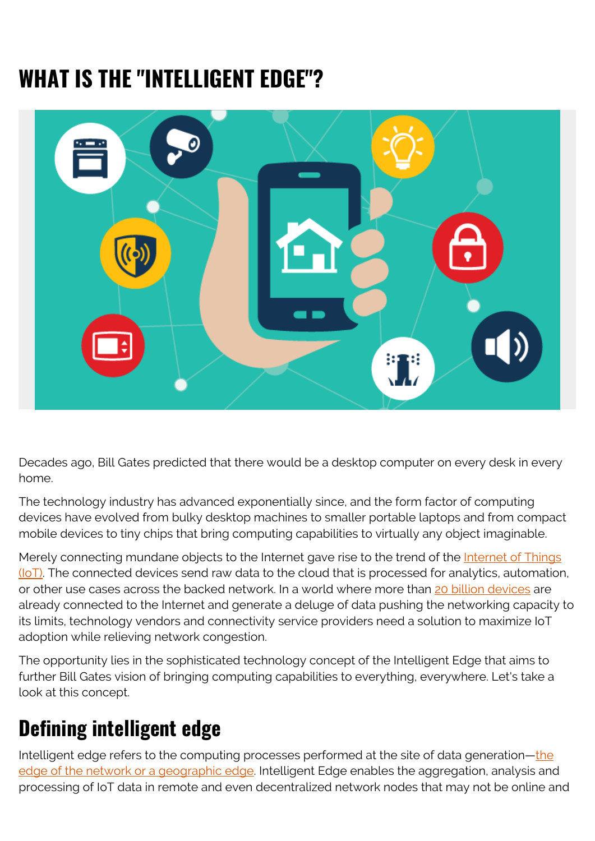# **WHAT IS THE "INTELLIGENT EDGE"?**



Decades ago, Bill Gates predicted that there would be a desktop computer on every desk in every home.

The technology industry has advanced exponentially since, and the form factor of computing devices have evolved from bulky desktop machines to smaller portable laptops and from compact mobile devices to tiny chips that bring computing capabilities to virtually any object imaginable.

Merely connecting mundane objects to the Internet gave rise to the trend of the [Internet of Things](https://blogs.bmc.com/blogs/iot-internet-of-things/)  $(IO)$ . The connected devices send raw data to the cloud that is processed for analytics, automation, or other use cases across the backed network. In a world where more than [20 billion devices](https://www.statista.com/statistics/471264/iot-number-of-connected-devices-worldwide/) are already connected to the Internet and generate a deluge of data pushing the networking capacity to its limits, technology vendors and connectivity service providers need a solution to maximize IoT adoption while relieving network congestion.

The opportunity lies in the sophisticated technology concept of the Intelligent Edge that aims to further Bill Gates vision of bringing computing capabilities to everything, everywhere. Let's take a look at this concept.

### **Defining intelligent edge**

Intelligent edge refers to the computing processes performed at the site of data generation[—the](https://blogs.bmc.com/blogs/edge-computing/) [edge of the network or a geographic edge](https://blogs.bmc.com/blogs/edge-computing/). Intelligent Edge enables the aggregation, analysis and processing of IoT data in remote and even decentralized network nodes that may not be online and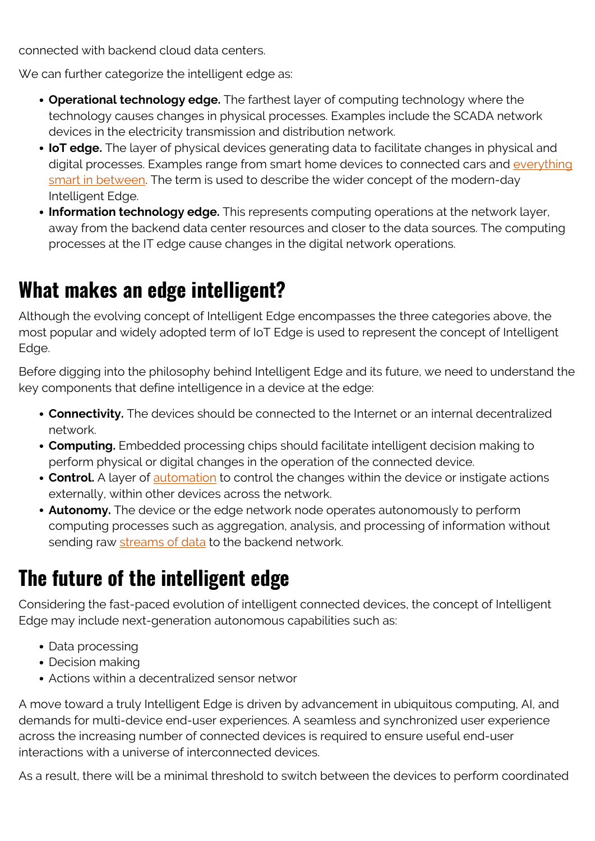connected with backend cloud data centers.

We can further categorize the intelligent edge as:

- **Operational technology edge.** The farthest layer of computing technology where the technology causes changes in physical processes. Examples include the SCADA network devices in the electricity transmission and distribution network.
- **IoT edge.** The layer of physical devices generating data to facilitate changes in physical and digital processes. Examples range from smart home devices to connected cars and [everything](https://blogs.bmc.com/blogs/smart-cities/) [smart in between](https://blogs.bmc.com/blogs/smart-cities/). The term is used to describe the wider concept of the modern-day Intelligent Edge.
- **Information technology edge.** This represents computing operations at the network layer, away from the backend data center resources and closer to the data sources. The computing processes at the IT edge cause changes in the digital network operations.

#### **What makes an edge intelligent?**

Although the evolving concept of Intelligent Edge encompasses the three categories above, the most popular and widely adopted term of IoT Edge is used to represent the concept of Intelligent Edge.

Before digging into the philosophy behind Intelligent Edge and its future, we need to understand the key components that define intelligence in a device at the edge:

- **Connectivity.** The devices should be connected to the Internet or an internal decentralized network.
- **Computing.** Embedded processing chips should facilitate intelligent decision making to perform physical or digital changes in the operation of the connected device.
- **Control.** A layer of [automation](https://blogs.bmc.com/blogs/it-automation/) to control the changes within the device or instigate actions externally, within other devices across the network.
- **Autonomy.** The device or the edge network node operates autonomously to perform computing processes such as aggregation, analysis, and processing of information without sending raw [streams of data](https://blogs.bmc.com/blogs/batch-processing-stream-processing-real-time/) to the backend network.

## **The future of the intelligent edge**

Considering the fast-paced evolution of intelligent connected devices, the concept of Intelligent Edge may include next-generation autonomous capabilities such as:

- Data processing
- Decision making
- Actions within a decentralized sensor networ

A move toward a truly Intelligent Edge is driven by advancement in ubiquitous computing, AI, and demands for multi-device end-user experiences. A seamless and synchronized user experience across the increasing number of connected devices is required to ensure useful end-user interactions with a universe of interconnected devices.

As a result, there will be a minimal threshold to switch between the devices to perform coordinated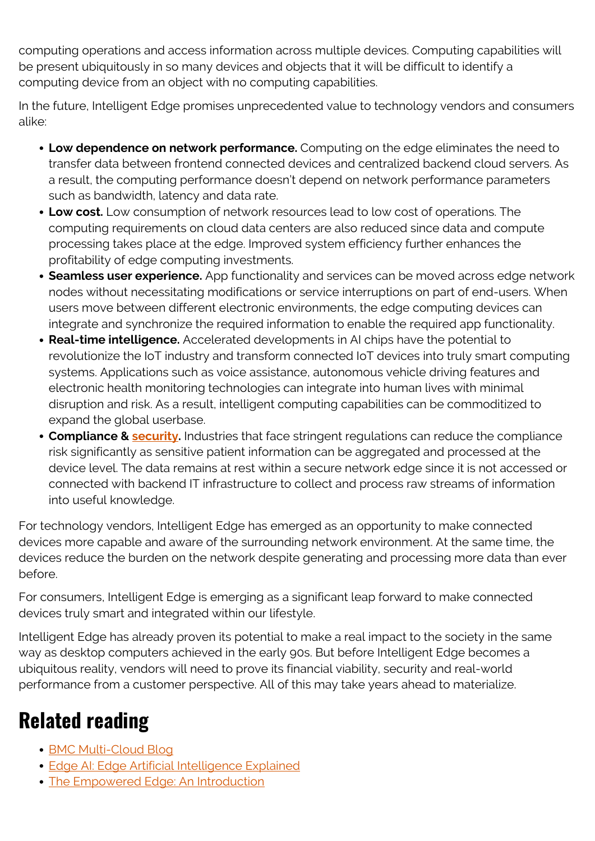computing operations and access information across multiple devices. Computing capabilities will be present ubiquitously in so many devices and objects that it will be difficult to identify a computing device from an object with no computing capabilities.

In the future, Intelligent Edge promises unprecedented value to technology vendors and consumers alike:

- **Low dependence on network performance.** Computing on the edge eliminates the need to transfer data between frontend connected devices and centralized backend cloud servers. As a result, the computing performance doesn't depend on network performance parameters such as bandwidth, latency and data rate.
- **Low cost.** Low consumption of network resources lead to low cost of operations. The computing requirements on cloud data centers are also reduced since data and compute processing takes place at the edge. Improved system efficiency further enhances the profitability of edge computing investments.
- **Seamless user experience.** App functionality and services can be moved across edge network nodes without necessitating modifications or service interruptions on part of end-users. When users move between different electronic environments, the edge computing devices can integrate and synchronize the required information to enable the required app functionality.
- **Real-time intelligence.** Accelerated developments in AI chips have the potential to revolutionize the IoT industry and transform connected IoT devices into truly smart computing systems. Applications such as voice assistance, autonomous vehicle driving features and electronic health monitoring technologies can integrate into human lives with minimal disruption and risk. As a result, intelligent computing capabilities can be commoditized to expand the global userbase.
- **Compliance & [security.](https://blogs.bmc.com/blogs/security-vulnerability-vs-threat-vs-risk-whats-difference/)** Industries that face stringent regulations can reduce the compliance risk significantly as sensitive patient information can be aggregated and processed at the device level. The data remains at rest within a secure network edge since it is not accessed or connected with backend IT infrastructure to collect and process raw streams of information into useful knowledge.

For technology vendors, Intelligent Edge has emerged as an opportunity to make connected devices more capable and aware of the surrounding network environment. At the same time, the devices reduce the burden on the network despite generating and processing more data than ever before.

For consumers, Intelligent Edge is emerging as a significant leap forward to make connected devices truly smart and integrated within our lifestyle.

Intelligent Edge has already proven its potential to make a real impact to the society in the same way as desktop computers achieved in the early 90s. But before Intelligent Edge becomes a ubiquitous reality, vendors will need to prove its financial viability, security and real-world performance from a customer perspective. All of this may take years ahead to materialize.

## **Related reading**

- [BMC Multi-Cloud Blog](https://blogs.bmc.com/blogs/categories/cloud/)
- [Edge AI: Edge Artificial Intelligence Explained](https://blogs.bmc.com/blogs/edge-artificial-intelligence/)
- [The Empowered Edge: An Introduction](https://blogs.bmc.com/blogs/empowered-edge/)